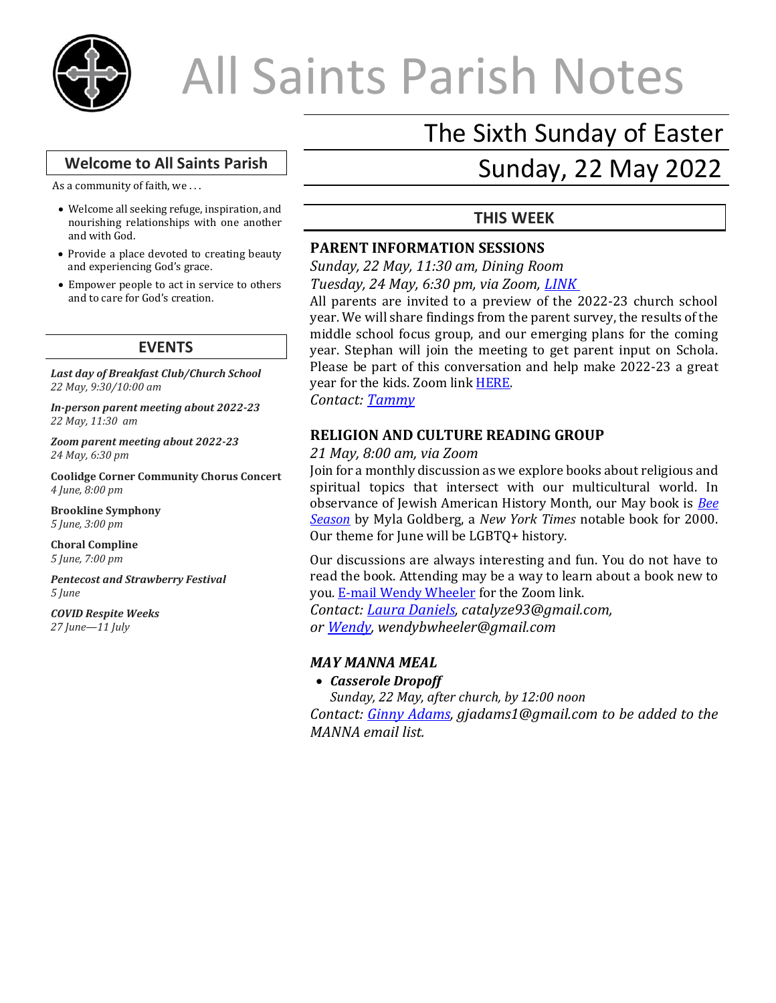

# All Saints Parish Notes

### **Welcome to All Saints Parish**

As a community of faith, we . . .

- Welcome all seeking refuge, inspiration, and nourishing relationships with one another and with God.
- Provide a place devoted to creating beauty and experiencing God's grace.
- Empower people to act in service to others and to care for God's creation.

#### **EVENTS**

*Last day of Breakfast Club/Church School 22 May, 9:30/10:00 am*

*In-person parent meeting about 2022-23 22 May, 11:30 am*

*Zoom parent meeting about 2022-23 24 May, 6:30 pm*

**Coolidge Corner Community Chorus Concert** *4 June, 8:00 pm* 

**Brookline Symphony** *5 June, 3:00 pm* 

**Choral Compline** *5 June, 7:00 pm* 

*Pentecost and Strawberry Festival 5 June*

#### *COVID Respite Weeks 27 June—11 July*

# The Sixth Sunday of Easter

# Sunday, 22 May 2022

# **THIS WEEK**

# **PARENT INFORMATION SESSIONS**

*Sunday, 22 May, 11:30 am, Dining Room Tuesday, 24 May, 6:30 pm, via Zoom, [LINK](https://us02web.zoom.us/j/88467516226?pwd=SG54SjRoY0FhV0ltYWlYNDA5Q2xhdz09)*

All parents are invited to a preview of the 2022-23 church school year. We will share findings from the parent survey, the results of the middle school focus group, and our emerging plans for the coming year. Stephan will join the meeting to get parent input on Schola. Please be part of this conversation and help make 2022-23 a great year for the kids. Zoom link **HERE**.

*Contact: [Tammy](mailto:familyminister@allsaintsbrookline.org)*

#### **RELIGION AND CULTURE READING GROUP**

*21 May, 8:00 am, via Zoom*

Join for a monthly discussion as we explore books about religious and spiritual topics that intersect with our multicultural world. In observance of Jewish American History Month, our May book is *[Bee](https://bookshop.org/books/bee-season/9780385498807)  [Season](https://bookshop.org/books/bee-season/9780385498807)* by Myla Goldberg, a *New York Times* notable book for 2000. Our theme for June will be LGBTQ+ history.

Our discussions are always interesting and fun. You do not have to read the book. Attending may be a way to learn about a book new to you. [E-mail Wendy Wheeler](mailto:wendybwheeler@gmail.com?subject=R+L%20Zoom%20Link) for the Zoom link. *Contact: [Laura Daniels,](mailto:catalyze93@gmail.com?subject=Religion%20and%20Culture%20Book%20Group) catalyze93@gmail.com,* 

*or [Wendy,](mailto:wendybwheeler@gmail.com?subject=R+L%20Book%20Group) wendybwheeler@gmail.com*

# *MAY MANNA MEAL*

#### • *Casserole Dropoff*

*Sunday, 22 May, after church, by 12:00 noon Contact: [Ginny Adams,](mailto:gjadams1@gmail.com?subject=MANNA) gjadams1@gmail.com to be added to the MANNA email list.*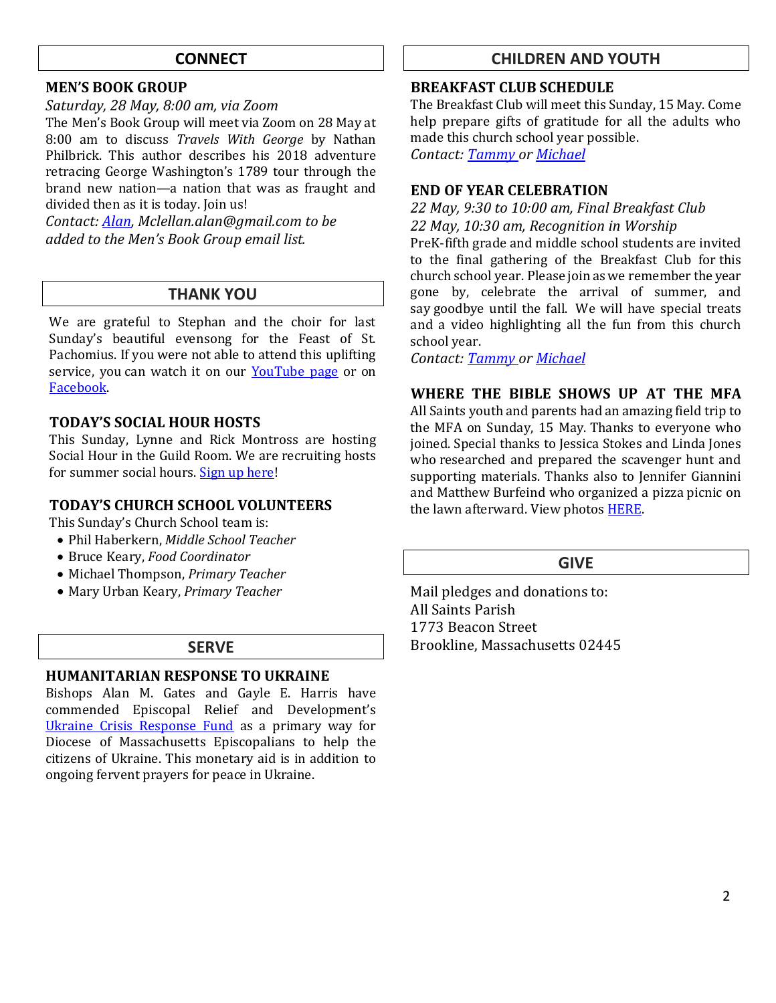# **CONNECT**

#### **MEN'S BOOK GROUP**

#### *Saturday, 28 May, 8:00 am, via Zoom*

The Men's Book Group will meet via Zoom on 28 May at 8:00 am to discuss *Travels With George* by Nathan Philbrick. This author describes his 2018 adventure retracing George Washington's 1789 tour through the brand new nation—a nation that was as fraught and divided then as it is today. Join us!

*Contact[: Alan,](mailto:Mclellan.alan@gmail.com?subject=MBG) Mclellan.alan@gmail.com to be added to the Men's Book Group email list.*

# **THANK YOU**

We are grateful to Stephan and the choir for last Sunday's beautiful evensong for the Feast of St. Pachomius. If you were not able to attend this uplifting service, you can watch it on our [YouTube](https://www.youtube.com/watch?v=rVD2yel8wIw) page or on [Facebook.](https://fb.watch/d4ViO3YFtU/)

#### **TODAY'S SOCIAL HOUR HOSTS**

This Sunday, Lynne and Rick Montross are hosting Social Hour in the Guild Room. We are recruiting hosts for summer social hours. [Sign up here!](https://docs.google.com/document/d/15pb8mSvwu8knVf72nZpw3r5VldLXg64inuHW6fpAtJY/edit)

#### **TODAY'S CHURCH SCHOOL VOLUNTEERS**

This Sunday's Church School team is:

- Phil Haberkern, *Middle School Teacher*
- Bruce Keary, *Food Coordinator*
- Michael Thompson, *Primary Teacher*
- Mary Urban Keary, *Primary Teacher*

# **SERVE**

#### **HUMANITARIAN RESPONSE TO UKRAINE**

Bishops Alan M. Gates and Gayle E. Harris have commended Episcopal Relief and Development's [Ukraine Crisis Response Fund](https://r20.rs6.net/tn.jsp?f=001PG5ohS-8EuYzak1sQFOU-kpbdArZBu123z-kUXs7nzE9ISRswVEIoAE_BhiuYSAgQ1BjRItUGvOIjBjWtM_3o9vAxwbADZPFtVBPG-_3POcZ777nB0FrYEneIIjqD3brcnOM0Xgb28uSfePsM0veCRH8UWaih2tcUnMap602Oe1z_VywsvlKQXzmFrIt341XkR4ou534AW0zHRxKiIYiAdf9QsOLa1NKmXfgFeKIug911HpGSUeapWwjaSuViM8lypaEfrHfcAGM2-bD7JuBH779eF-xhglVGePa-Dgk8OiWUc91rPr0dnYmr5Zauisb&c=xPaEAI1_FkgZubbQGBLEivTTOctBMqBajIZnV9VifQW6v4ZazyYg0Q==&ch=6BxilLrFiVjBOWBl8wARhz0l5nUXZMtWFqwg_LoUYQg2Smy1LOjq5g==) as a primary way for Diocese of Massachusetts Episcopalians to help the citizens of Ukraine. This monetary aid is in addition to ongoing fervent prayers for peace in Ukraine.

# **CHILDREN AND YOUTH**

#### **BREAKFAST CLUB SCHEDULE**

The Breakfast Club will meet this Sunday, 15 May. Come help prepare gifts of gratitude for all the adults who made this church school year possible. *Contact[: Tammy](mailto:familyminister@allsaintsbrookline.org) o[r Michael](mailto:mthompson5510@gmail.com)*

# **END OF YEAR CELEBRATION**

*22 May, 9:30 to 10:00 am, Final Breakfast Club 22 May, 10:30 am, Recognition in Worship* PreK-fifth grade and middle school students are invited

to the final gathering of the Breakfast Club for this church school year. Please join as we remember the year gone by, celebrate the arrival of summer, and say goodbye until the fall. We will have special treats and a video highlighting all the fun from this church school year.

*Contact[: Tammy](mailto:familyminister@allsaintsbrookline.org) o[r Michael](mailto:mthompson5510@gmail.com)*

**WHERE THE BIBLE SHOWS UP AT THE MFA** All Saints youth and parents had an amazing field trip to the MFA on Sunday, 15 May. Thanks to everyone who joined. Special thanks to Jessica Stokes and Linda Jones who researched and prepared the scavenger hunt and supporting materials. Thanks also to Jennifer Giannini and Matthew Burfeind who organized a pizza picnic on the lawn afterward. View photos **HERE**.

# **GIVE**

Mail pledges and donations to: All Saints Parish 1773 Beacon Street Brookline, Massachusetts 02445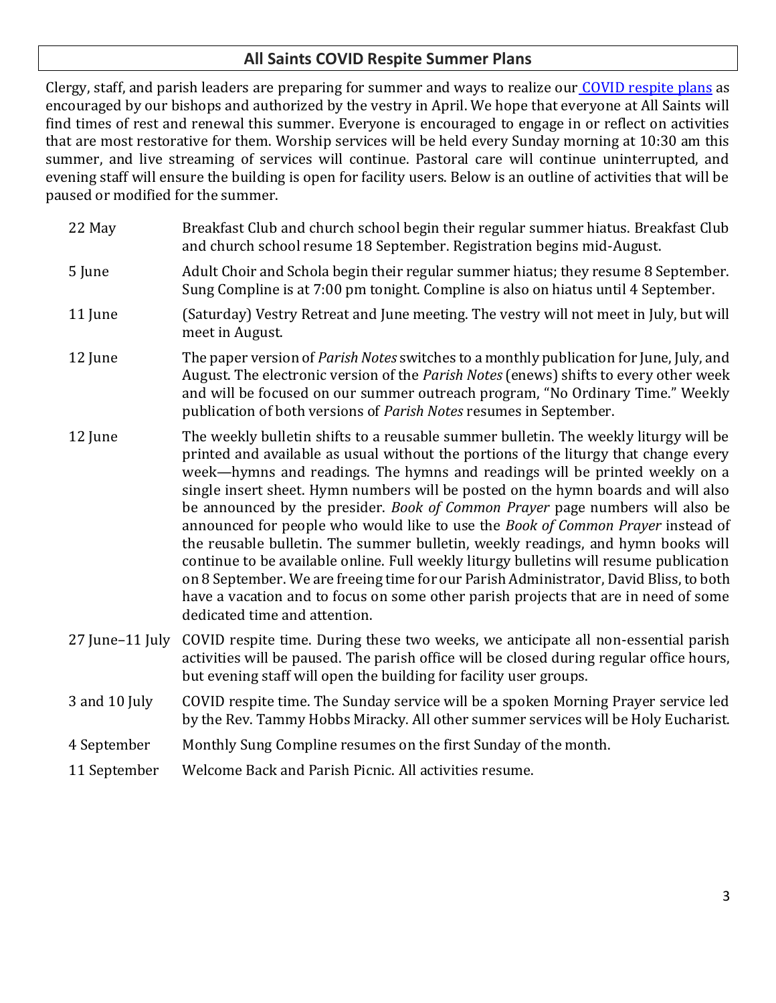# **All Saints COVID Respite Summer Plans**

Clergy, staff, and parish leaders are preparing for summer and ways to realize our [COVID respite plans](https://allsaintsbrookline.org/covid-respite-plan-2022/) as encouraged by our bishops and authorized by the vestry in April. We hope that everyone at All Saints will find times of rest and renewal this summer. Everyone is encouraged to engage in or reflect on activities that are most restorative for them. Worship services will be held every Sunday morning at 10:30 am this summer, and live streaming of services will continue. Pastoral care will continue uninterrupted, and evening staff will ensure the building is open for facility users. Below is an outline of activities that will be paused or modified for the summer.

- 22 May Breakfast Club and church school begin their regular summer hiatus. Breakfast Club and church school resume 18 September. Registration begins mid-August.
- 5 June Adult Choir and Schola begin their regular summer hiatus; they resume 8 September. Sung Compline is at 7:00 pm tonight. Compline is also on hiatus until 4 September.
- 11 June (Saturday) Vestry Retreat and June meeting. The vestry will not meet in July, but will meet in August.
- 12 June The paper version of *Parish Notes* switches to a monthly publication for June, July, and August. The electronic version of the *Parish Notes*(enews) shifts to every other week and will be focused on our summer outreach program, "No Ordinary Time." Weekly publication of both versions of *Parish Notes* resumes in September.
- 12 June The weekly bulletin shifts to a reusable summer bulletin. The weekly liturgy will be printed and available as usual without the portions of the liturgy that change every week—hymns and readings. The hymns and readings will be printed weekly on a single insert sheet. Hymn numbers will be posted on the hymn boards and will also be announced by the presider. *Book of Common Prayer* page numbers will also be announced for people who would like to use the *Book of Common Prayer* instead of the reusable bulletin. The summer bulletin, weekly readings, and hymn books will continue to be available online. Full weekly liturgy bulletins will resume publication on 8 September. We are freeing time for our Parish Administrator, David Bliss, to both have a vacation and to focus on some other parish projects that are in need of some dedicated time and attention.
- 27 June–11 July COVID respite time. During these two weeks, we anticipate all non-essential parish activities will be paused. The parish office will be closed during regular office hours, but evening staff will open the building for facility user groups.
- 3 and 10 July COVID respite time. The Sunday service will be a spoken Morning Prayer service led by the Rev. Tammy Hobbs Miracky. All other summer services will be Holy Eucharist.
- 4 September Monthly Sung Compline resumes on the first Sunday of the month.
- 11 September Welcome Back and Parish Picnic. All activities resume.